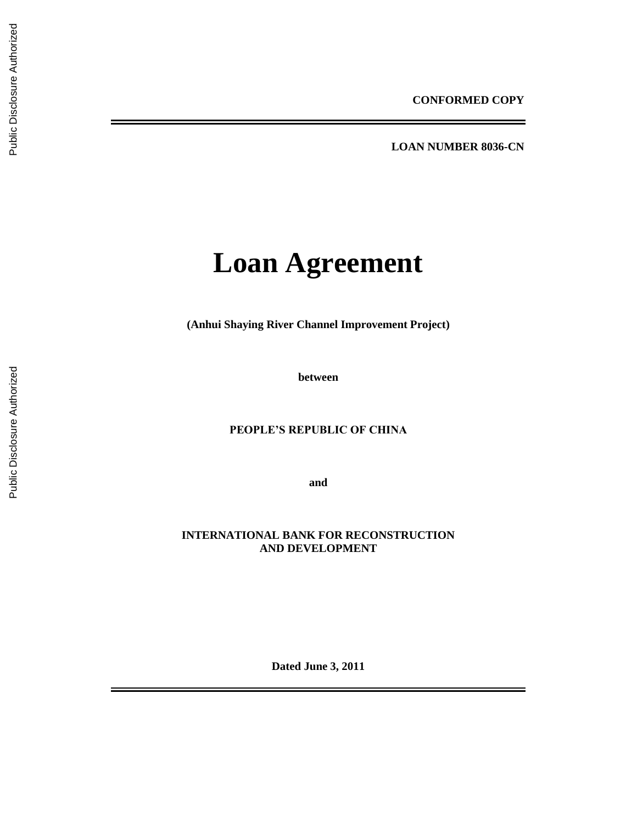**LOAN NUMBER 8036 -CN**

# **Loan Agreement**

**(Anhui Shaying River Channel Improvement Project )**

**between**

# **PEOPLE'S REPUBLIC OF CHINA**

**and**

# **INTERNATIONAL BANK FOR RECONSTRUCTION AND DEVELOPMENT**

**Dated June 3, 20 1 1**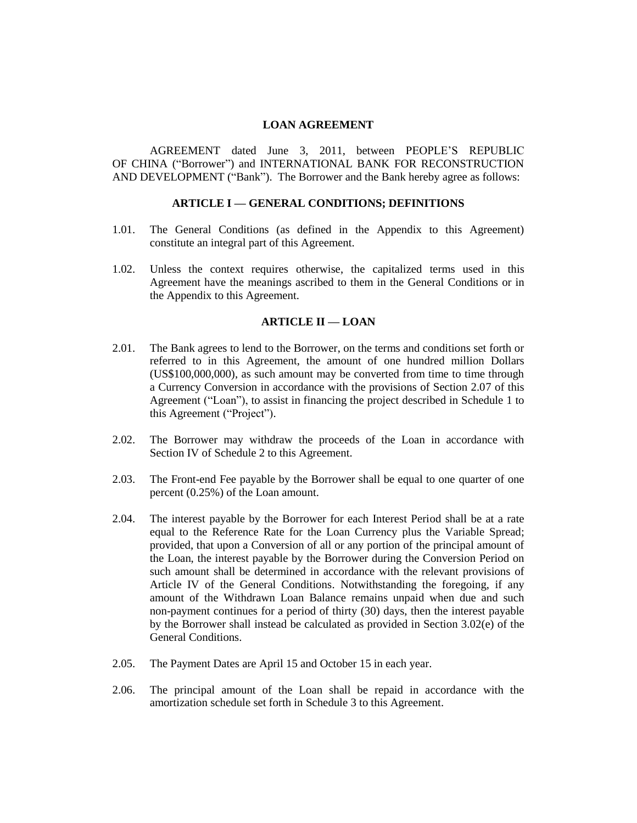#### **LOAN AGREEMENT**

AGREEMENT dated June 3, 2011, between PEOPLE'S REPUBLIC OF CHINA ("Borrower") and INTERNATIONAL BANK FOR RECONSTRUCTION AND DEVELOPMENT ("Bank"). The Borrower and the Bank hereby agree as follows:

#### **ARTICLE I — GENERAL CONDITIONS; DEFINITIONS**

- 1.01. The General Conditions (as defined in the Appendix to this Agreement) constitute an integral part of this Agreement.
- 1.02. Unless the context requires otherwise, the capitalized terms used in this Agreement have the meanings ascribed to them in the General Conditions or in the Appendix to this Agreement.

## **ARTICLE II — LOAN**

- 2.01. The Bank agrees to lend to the Borrower, on the terms and conditions set forth or referred to in this Agreement, the amount of one hundred million Dollars (US\$100,000,000), as such amount may be converted from time to time through a Currency Conversion in accordance with the provisions of Section 2.07 of this Agreement ("Loan"), to assist in financing the project described in Schedule 1 to this Agreement ("Project").
- 2.02. The Borrower may withdraw the proceeds of the Loan in accordance with Section IV of Schedule 2 to this Agreement.
- 2.03. The Front-end Fee payable by the Borrower shall be equal to one quarter of one percent (0.25%) of the Loan amount.
- 2.04. The interest payable by the Borrower for each Interest Period shall be at a rate equal to the Reference Rate for the Loan Currency plus the Variable Spread; provided, that upon a Conversion of all or any portion of the principal amount of the Loan, the interest payable by the Borrower during the Conversion Period on such amount shall be determined in accordance with the relevant provisions of Article IV of the General Conditions. Notwithstanding the foregoing, if any amount of the Withdrawn Loan Balance remains unpaid when due and such non-payment continues for a period of thirty (30) days, then the interest payable by the Borrower shall instead be calculated as provided in Section 3.02(e) of the General Conditions.
- 2.05. The Payment Dates are April 15 and October 15 in each year.
- 2.06. The principal amount of the Loan shall be repaid in accordance with the amortization schedule set forth in Schedule 3 to this Agreement.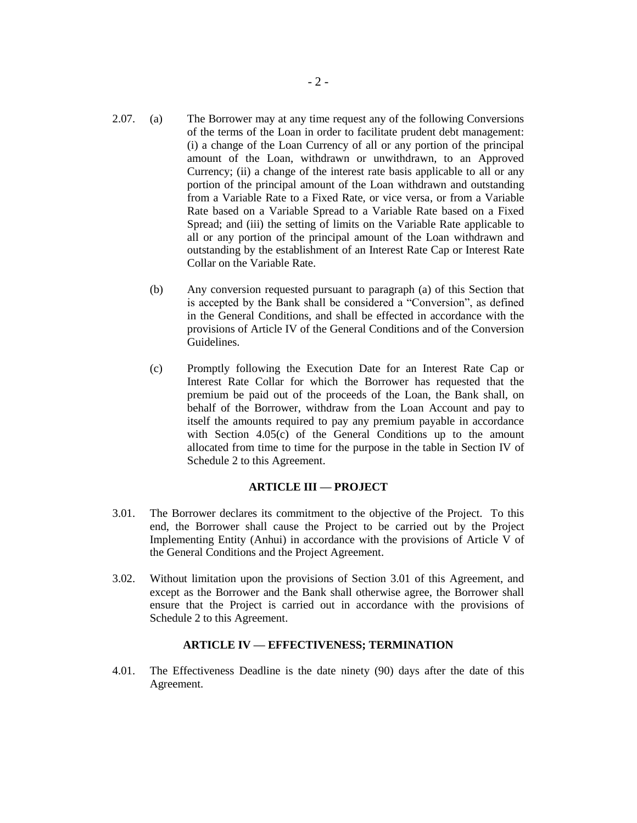- 2.07. (a) The Borrower may at any time request any of the following Conversions of the terms of the Loan in order to facilitate prudent debt management: (i) a change of the Loan Currency of all or any portion of the principal amount of the Loan, withdrawn or unwithdrawn, to an Approved Currency; (ii) a change of the interest rate basis applicable to all or any portion of the principal amount of the Loan withdrawn and outstanding from a Variable Rate to a Fixed Rate, or vice versa, or from a Variable Rate based on a Variable Spread to a Variable Rate based on a Fixed Spread; and (iii) the setting of limits on the Variable Rate applicable to all or any portion of the principal amount of the Loan withdrawn and outstanding by the establishment of an Interest Rate Cap or Interest Rate Collar on the Variable Rate.
	- (b) Any conversion requested pursuant to paragraph (a) of this Section that is accepted by the Bank shall be considered a "Conversion", as defined in the General Conditions, and shall be effected in accordance with the provisions of Article IV of the General Conditions and of the Conversion Guidelines.
	- (c) Promptly following the Execution Date for an Interest Rate Cap or Interest Rate Collar for which the Borrower has requested that the premium be paid out of the proceeds of the Loan, the Bank shall, on behalf of the Borrower, withdraw from the Loan Account and pay to itself the amounts required to pay any premium payable in accordance with Section 4.05(c) of the General Conditions up to the amount allocated from time to time for the purpose in the table in Section IV of Schedule 2 to this Agreement.

## **ARTICLE III — PROJECT**

- 3.01. The Borrower declares its commitment to the objective of the Project. To this end, the Borrower shall cause the Project to be carried out by the Project Implementing Entity (Anhui) in accordance with the provisions of Article V of the General Conditions and the Project Agreement.
- 3.02. Without limitation upon the provisions of Section 3.01 of this Agreement, and except as the Borrower and the Bank shall otherwise agree, the Borrower shall ensure that the Project is carried out in accordance with the provisions of Schedule 2 to this Agreement.

#### **ARTICLE IV — EFFECTIVENESS; TERMINATION**

4.01. The Effectiveness Deadline is the date ninety (90) days after the date of this Agreement.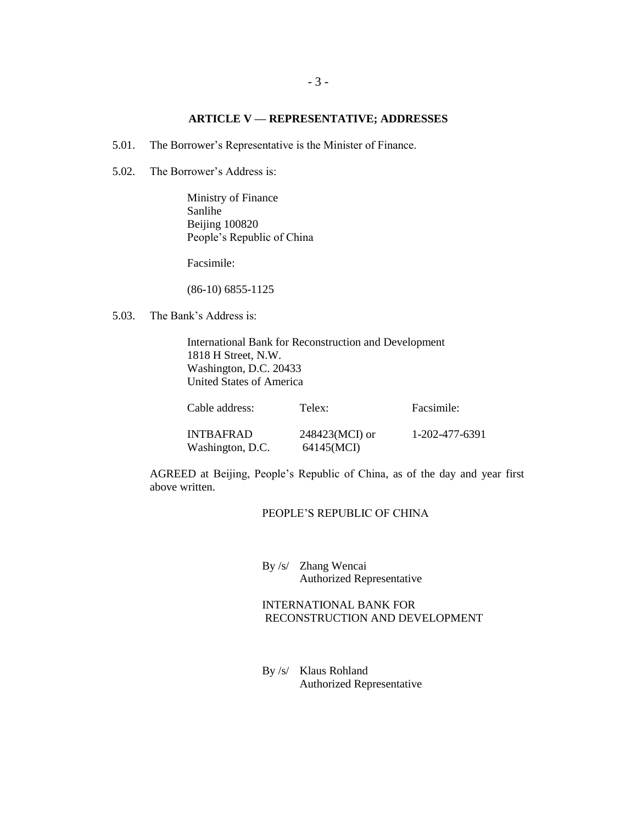## **ARTICLE V — REPRESENTATIVE; ADDRESSES**

- 5.01. The Borrower's Representative is the Minister of Finance.
- 5.02. The Borrower's Address is:

Ministry of Finance Sanlihe Beijing 100820 People's Republic of China

Facsimile:

(86-10) 6855-1125

5.03. The Bank's Address is:

International Bank for Reconstruction and Development 1818 H Street, N.W. Washington, D.C. 20433 United States of America

| Cable address:   | Telex:         | Facsimile:     |
|------------------|----------------|----------------|
| <b>INTBAFRAD</b> | 248423(MCI) or | 1-202-477-6391 |
| Washington, D.C. | 64145(MCI)     |                |

AGREED at Beijing, People's Republic of China, as of the day and year first above written.

#### PEOPLE'S REPUBLIC OF CHINA

By /s/ Zhang Wencai Authorized Representative

# INTERNATIONAL BANK FOR RECONSTRUCTION AND DEVELOPMENT

By /s/ Klaus Rohland Authorized Representative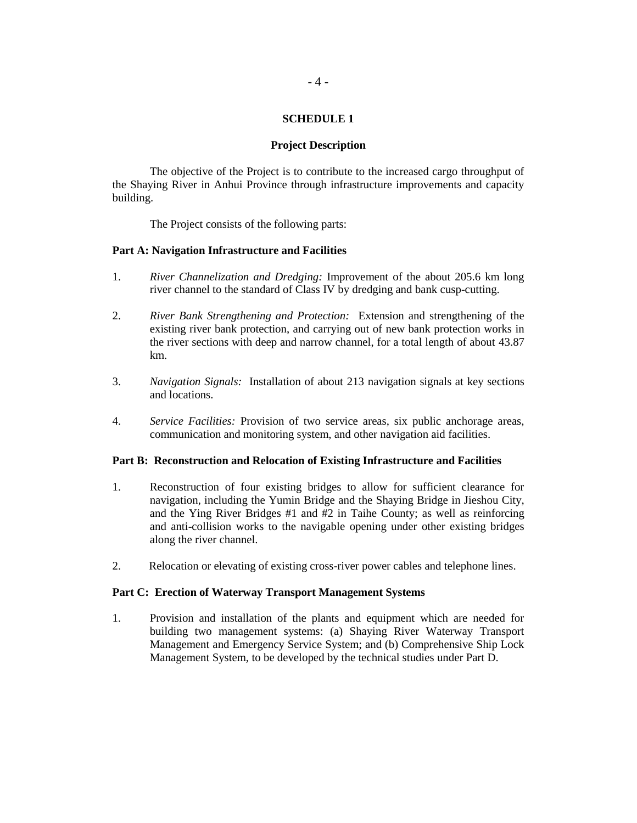## **SCHEDULE 1**

#### **Project Description**

The objective of the Project is to contribute to the increased cargo throughput of the Shaying River in Anhui Province through infrastructure improvements and capacity building.

The Project consists of the following parts:

#### **Part A: Navigation Infrastructure and Facilities**

- 1. *River Channelization and Dredging:* Improvement of the about 205.6 km long river channel to the standard of Class IV by dredging and bank cusp-cutting.
- 2. *River Bank Strengthening and Protection:* Extension and strengthening of the existing river bank protection, and carrying out of new bank protection works in the river sections with deep and narrow channel, for a total length of about 43.87 km.
- 3. *Navigation Signals:* Installation of about 213 navigation signals at key sections and locations.
- 4. *Service Facilities:* Provision of two service areas, six public anchorage areas, communication and monitoring system, and other navigation aid facilities.

#### **Part B: Reconstruction and Relocation of Existing Infrastructure and Facilities**

- 1. Reconstruction of four existing bridges to allow for sufficient clearance for navigation, including the Yumin Bridge and the Shaying Bridge in Jieshou City, and the Ying River Bridges #1 and #2 in Taihe County; as well as reinforcing and anti-collision works to the navigable opening under other existing bridges along the river channel.
- 2. Relocation or elevating of existing cross-river power cables and telephone lines.

## **Part C: Erection of Waterway Transport Management Systems**

1. Provision and installation of the plants and equipment which are needed for building two management systems: (a) Shaying River Waterway Transport Management and Emergency Service System; and (b) Comprehensive Ship Lock Management System, to be developed by the technical studies under Part D.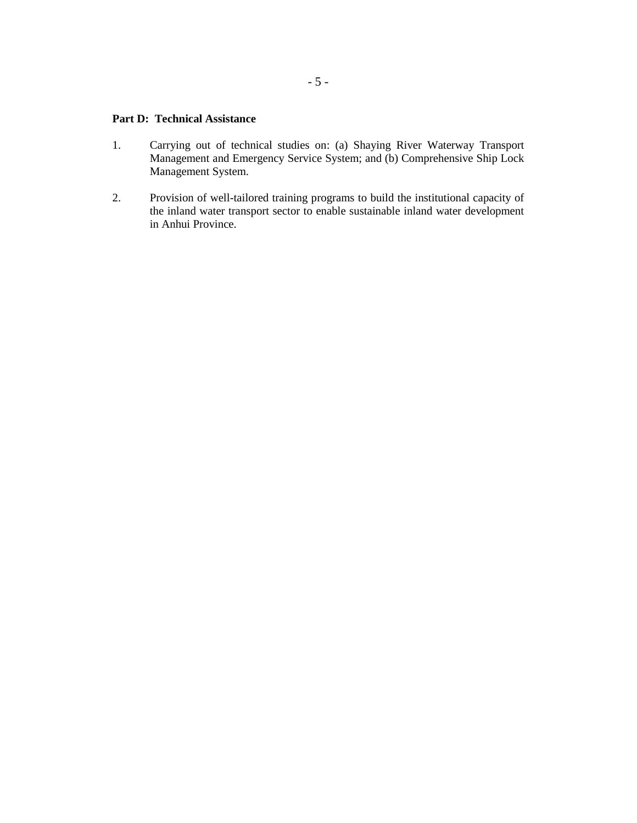## **Part D: Technical Assistance**

- 1. Carrying out of technical studies on: (a) Shaying River Waterway Transport Management and Emergency Service System; and (b) Comprehensive Ship Lock Management System.
- 2. Provision of well-tailored training programs to build the institutional capacity of the inland water transport sector to enable sustainable inland water development in Anhui Province.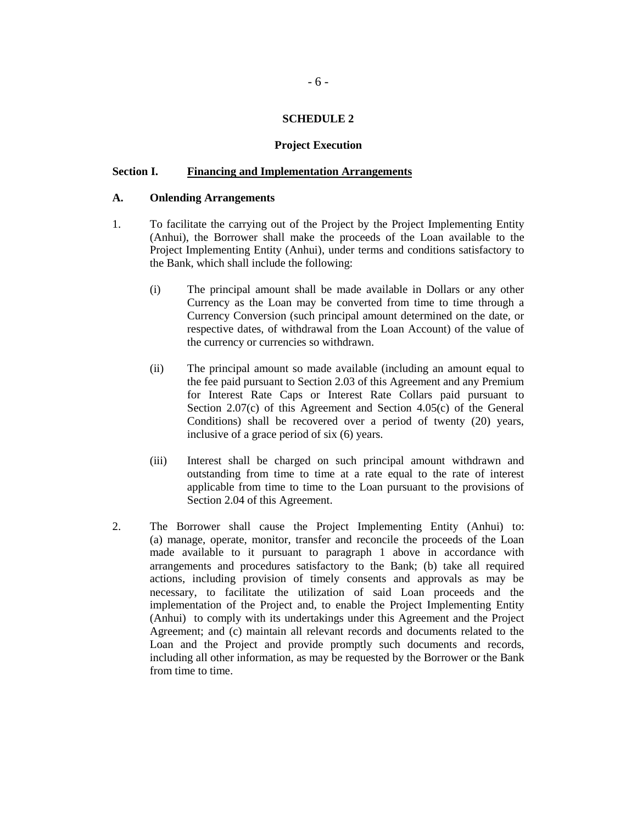## **SCHEDULE 2**

#### **Project Execution**

## **Section I. Financing and Implementation Arrangements**

#### **A. Onlending Arrangements**

- 1. To facilitate the carrying out of the Project by the Project Implementing Entity (Anhui), the Borrower shall make the proceeds of the Loan available to the Project Implementing Entity (Anhui), under terms and conditions satisfactory to the Bank, which shall include the following:
	- (i) The principal amount shall be made available in Dollars or any other Currency as the Loan may be converted from time to time through a Currency Conversion (such principal amount determined on the date, or respective dates, of withdrawal from the Loan Account) of the value of the currency or currencies so withdrawn.
	- (ii) The principal amount so made available (including an amount equal to the fee paid pursuant to Section 2.03 of this Agreement and any Premium for Interest Rate Caps or Interest Rate Collars paid pursuant to Section 2.07(c) of this Agreement and Section 4.05(c) of the General Conditions) shall be recovered over a period of twenty (20) years, inclusive of a grace period of six (6) years.
	- (iii) Interest shall be charged on such principal amount withdrawn and outstanding from time to time at a rate equal to the rate of interest applicable from time to time to the Loan pursuant to the provisions of Section 2.04 of this Agreement.
- 2. The Borrower shall cause the Project Implementing Entity (Anhui) to: (a) manage, operate, monitor, transfer and reconcile the proceeds of the Loan made available to it pursuant to paragraph 1 above in accordance with arrangements and procedures satisfactory to the Bank; (b) take all required actions, including provision of timely consents and approvals as may be necessary, to facilitate the utilization of said Loan proceeds and the implementation of the Project and, to enable the Project Implementing Entity (Anhui) to comply with its undertakings under this Agreement and the Project Agreement; and (c) maintain all relevant records and documents related to the Loan and the Project and provide promptly such documents and records, including all other information, as may be requested by the Borrower or the Bank from time to time.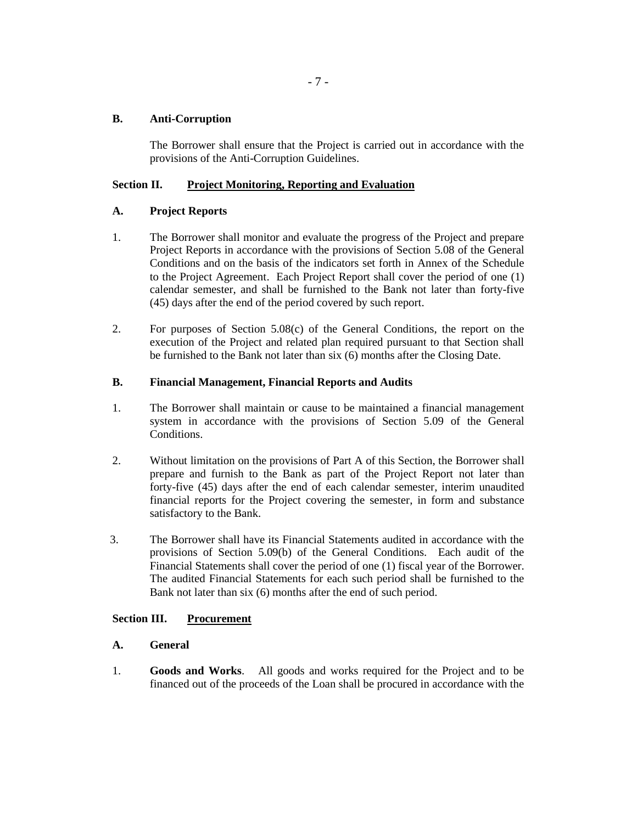## **B. Anti-Corruption**

The Borrower shall ensure that the Project is carried out in accordance with the provisions of the Anti-Corruption Guidelines.

# **Section II. Project Monitoring, Reporting and Evaluation**

# **A. Project Reports**

- 1. The Borrower shall monitor and evaluate the progress of the Project and prepare Project Reports in accordance with the provisions of Section 5.08 of the General Conditions and on the basis of the indicators set forth in Annex of the Schedule to the Project Agreement. Each Project Report shall cover the period of one (1) calendar semester, and shall be furnished to the Bank not later than forty-five (45) days after the end of the period covered by such report.
- 2. For purposes of Section 5.08(c) of the General Conditions, the report on the execution of the Project and related plan required pursuant to that Section shall be furnished to the Bank not later than six (6) months after the Closing Date.

# **B. Financial Management, Financial Reports and Audits**

- 1. The Borrower shall maintain or cause to be maintained a financial management system in accordance with the provisions of Section 5.09 of the General Conditions.
- 2. Without limitation on the provisions of Part A of this Section, the Borrower shall prepare and furnish to the Bank as part of the Project Report not later than forty-five (45) days after the end of each calendar semester, interim unaudited financial reports for the Project covering the semester, in form and substance satisfactory to the Bank.
- 3. The Borrower shall have its Financial Statements audited in accordance with the provisions of Section 5.09(b) of the General Conditions. Each audit of the Financial Statements shall cover the period of one (1) fiscal year of the Borrower. The audited Financial Statements for each such period shall be furnished to the Bank not later than six (6) months after the end of such period.

# **Section III. Procurement**

# **A. General**

1. **Goods and Works**.All goods and works required for the Project and to be financed out of the proceeds of the Loan shall be procured in accordance with the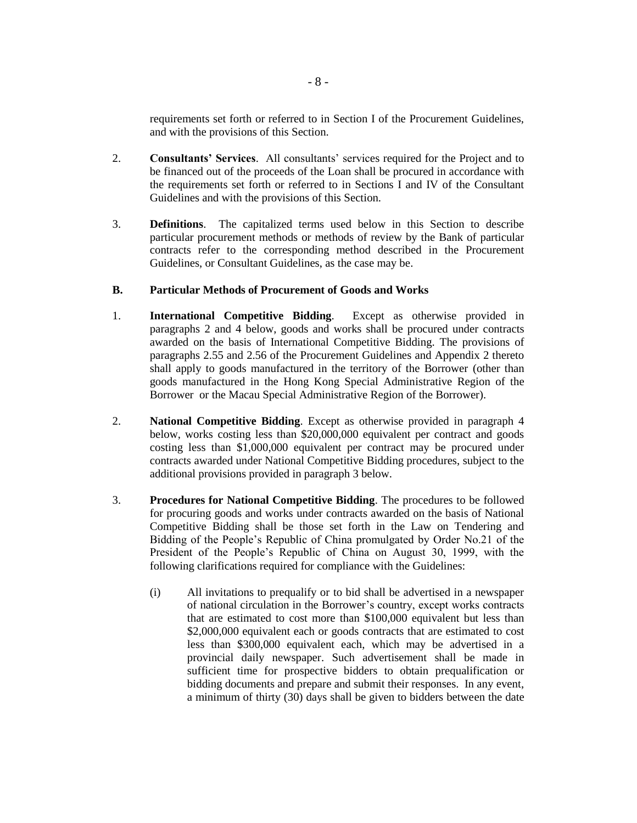requirements set forth or referred to in Section I of the Procurement Guidelines, and with the provisions of this Section.

- 2. **Consultants' Services**. All consultants' services required for the Project and to be financed out of the proceeds of the Loan shall be procured in accordance with the requirements set forth or referred to in Sections I and IV of the Consultant Guidelines and with the provisions of this Section.
- 3. **Definitions**. The capitalized terms used below in this Section to describe particular procurement methods or methods of review by the Bank of particular contracts refer to the corresponding method described in the Procurement Guidelines, or Consultant Guidelines, as the case may be.

## **B. Particular Methods of Procurement of Goods and Works**

- 1. **International Competitive Bidding**. Except as otherwise provided in paragraphs 2 and 4 below, goods and works shall be procured under contracts awarded on the basis of International Competitive Bidding. The provisions of paragraphs 2.55 and 2.56 of the Procurement Guidelines and Appendix 2 thereto shall apply to goods manufactured in the territory of the Borrower (other than goods manufactured in the Hong Kong Special Administrative Region of the Borrower or the Macau Special Administrative Region of the Borrower).
- 2. **National Competitive Bidding**. Except as otherwise provided in paragraph 4 below, works costing less than \$20,000,000 equivalent per contract and goods costing less than \$1,000,000 equivalent per contract may be procured under contracts awarded under National Competitive Bidding procedures, subject to the additional provisions provided in paragraph 3 below.
- 3. **Procedures for National Competitive Bidding**. The procedures to be followed for procuring goods and works under contracts awarded on the basis of National Competitive Bidding shall be those set forth in the Law on Tendering and Bidding of the People's Republic of China promulgated by Order No.21 of the President of the People's Republic of China on August 30, 1999, with the following clarifications required for compliance with the Guidelines:
	- (i) All invitations to prequalify or to bid shall be advertised in a newspaper of national circulation in the Borrower's country, except works contracts that are estimated to cost more than \$100,000 equivalent but less than \$2,000,000 equivalent each or goods contracts that are estimated to cost less than \$300,000 equivalent each, which may be advertised in a provincial daily newspaper. Such advertisement shall be made in sufficient time for prospective bidders to obtain prequalification or bidding documents and prepare and submit their responses. In any event, a minimum of thirty (30) days shall be given to bidders between the date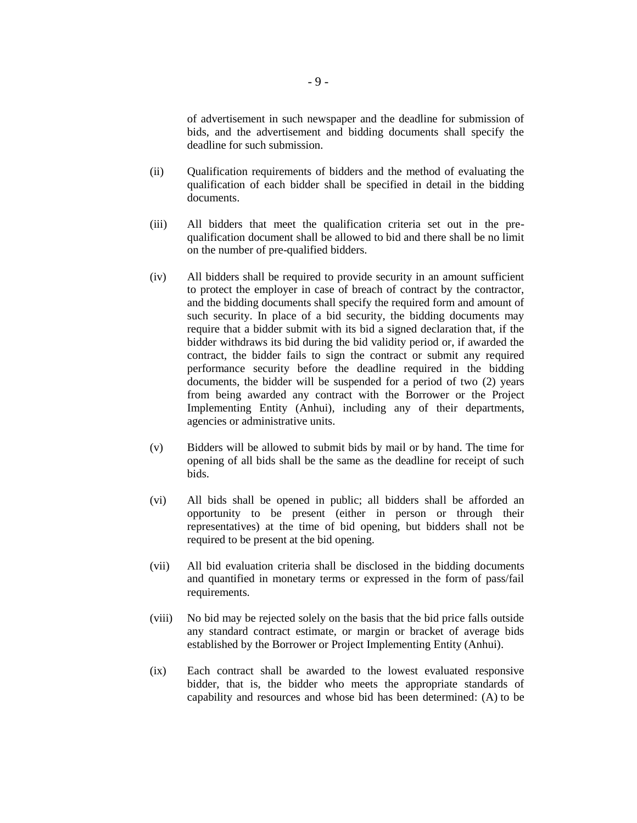of advertisement in such newspaper and the deadline for submission of bids, and the advertisement and bidding documents shall specify the deadline for such submission.

- (ii) Qualification requirements of bidders and the method of evaluating the qualification of each bidder shall be specified in detail in the bidding documents.
- (iii) All bidders that meet the qualification criteria set out in the prequalification document shall be allowed to bid and there shall be no limit on the number of pre-qualified bidders.
- (iv) All bidders shall be required to provide security in an amount sufficient to protect the employer in case of breach of contract by the contractor, and the bidding documents shall specify the required form and amount of such security. In place of a bid security, the bidding documents may require that a bidder submit with its bid a signed declaration that, if the bidder withdraws its bid during the bid validity period or, if awarded the contract, the bidder fails to sign the contract or submit any required performance security before the deadline required in the bidding documents, the bidder will be suspended for a period of two (2) years from being awarded any contract with the Borrower or the Project Implementing Entity (Anhui), including any of their departments, agencies or administrative units.
- (v) Bidders will be allowed to submit bids by mail or by hand. The time for opening of all bids shall be the same as the deadline for receipt of such bids.
- (vi) All bids shall be opened in public; all bidders shall be afforded an opportunity to be present (either in person or through their representatives) at the time of bid opening, but bidders shall not be required to be present at the bid opening.
- (vii) All bid evaluation criteria shall be disclosed in the bidding documents and quantified in monetary terms or expressed in the form of pass/fail requirements.
- (viii) No bid may be rejected solely on the basis that the bid price falls outside any standard contract estimate, or margin or bracket of average bids established by the Borrower or Project Implementing Entity (Anhui).
- (ix) Each contract shall be awarded to the lowest evaluated responsive bidder, that is, the bidder who meets the appropriate standards of capability and resources and whose bid has been determined: (A) to be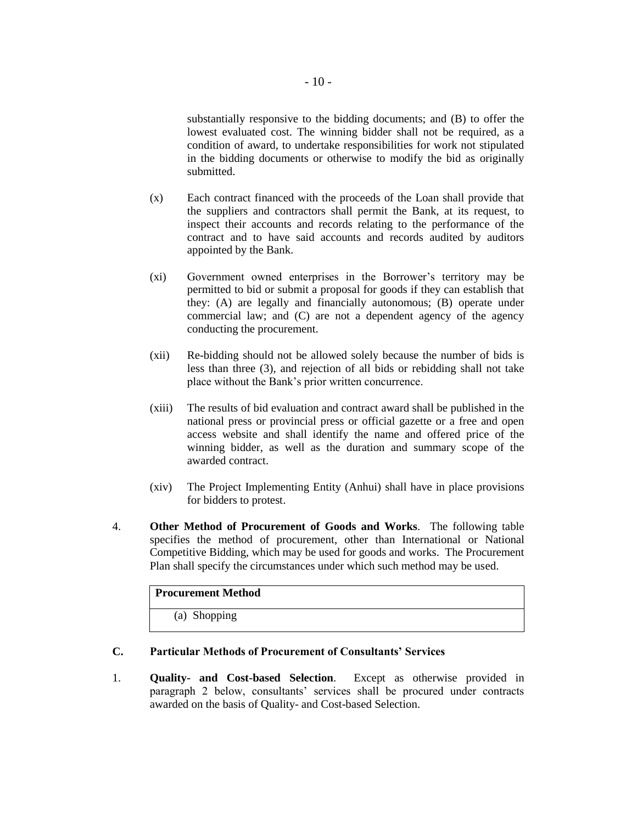substantially responsive to the bidding documents; and (B) to offer the lowest evaluated cost. The winning bidder shall not be required, as a condition of award, to undertake responsibilities for work not stipulated in the bidding documents or otherwise to modify the bid as originally submitted.

- (x) Each contract financed with the proceeds of the Loan shall provide that the suppliers and contractors shall permit the Bank, at its request, to inspect their accounts and records relating to the performance of the contract and to have said accounts and records audited by auditors appointed by the Bank.
- (xi) Government owned enterprises in the Borrower's territory may be permitted to bid or submit a proposal for goods if they can establish that they: (A) are legally and financially autonomous; (B) operate under commercial law; and (C) are not a dependent agency of the agency conducting the procurement.
- (xii) Re-bidding should not be allowed solely because the number of bids is less than three (3), and rejection of all bids or rebidding shall not take place without the Bank's prior written concurrence.
- (xiii) The results of bid evaluation and contract award shall be published in the national press or provincial press or official gazette or a free and open access website and shall identify the name and offered price of the winning bidder, as well as the duration and summary scope of the awarded contract.
- (xiv) The Project Implementing Entity (Anhui) shall have in place provisions for bidders to protest.
- 4. **Other Method of Procurement of Goods and Works**. The following table specifies the method of procurement, other than International or National Competitive Bidding, which may be used for goods and works. The Procurement Plan shall specify the circumstances under which such method may be used.

| <b>Procurement Method</b> |  |
|---------------------------|--|
| (a) Shopping              |  |

# **C. Particular Methods of Procurement of Consultants' Services**

1. **Quality- and Cost-based Selection**. Except as otherwise provided in paragraph 2 below, consultants' services shall be procured under contracts awarded on the basis of Quality- and Cost-based Selection.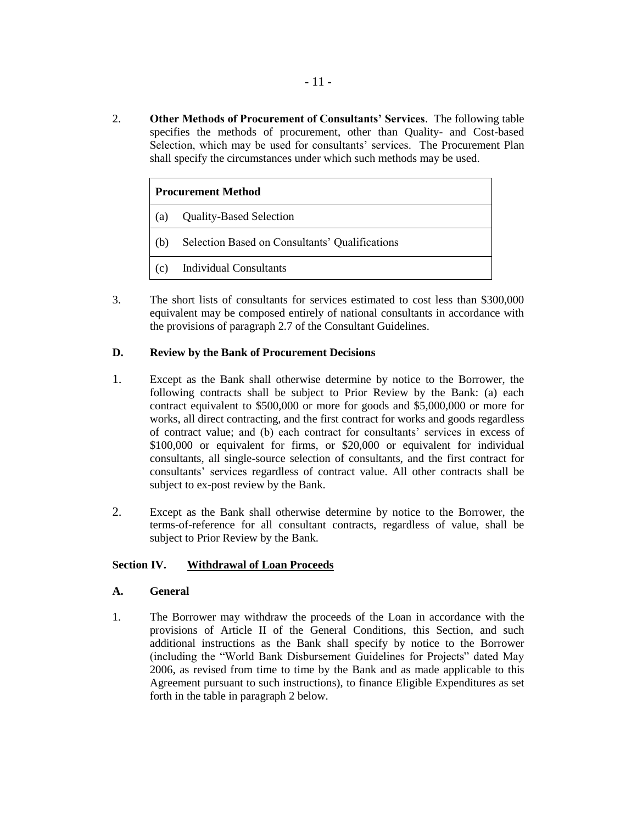2. **Other Methods of Procurement of Consultants' Services**. The following table specifies the methods of procurement, other than Quality- and Cost-based Selection, which may be used for consultants' services. The Procurement Plan shall specify the circumstances under which such methods may be used.

| <b>Procurement Method</b> |                                                |
|---------------------------|------------------------------------------------|
| (a)                       | <b>Quality-Based Selection</b>                 |
| (b)                       | Selection Based on Consultants' Qualifications |
| (c)                       | <b>Individual Consultants</b>                  |

3. The short lists of consultants for services estimated to cost less than \$300,000 equivalent may be composed entirely of national consultants in accordance with the provisions of paragraph 2.7 of the Consultant Guidelines.

# **D. Review by the Bank of Procurement Decisions**

- 1. Except as the Bank shall otherwise determine by notice to the Borrower, the following contracts shall be subject to Prior Review by the Bank: (a) each contract equivalent to \$500,000 or more for goods and \$5,000,000 or more for works, all direct contracting, and the first contract for works and goods regardless of contract value; and (b) each contract for consultants' services in excess of \$100,000 or equivalent for firms, or \$20,000 or equivalent for individual consultants, all single-source selection of consultants, and the first contract for consultants' services regardless of contract value. All other contracts shall be subject to ex-post review by the Bank.
- 2. Except as the Bank shall otherwise determine by notice to the Borrower, the terms-of-reference for all consultant contracts, regardless of value, shall be subject to Prior Review by the Bank.

# **Section IV. Withdrawal of Loan Proceeds**

# **A. General**

1. The Borrower may withdraw the proceeds of the Loan in accordance with the provisions of Article II of the General Conditions, this Section, and such additional instructions as the Bank shall specify by notice to the Borrower (including the "World Bank Disbursement Guidelines for Projects" dated May 2006, as revised from time to time by the Bank and as made applicable to this Agreement pursuant to such instructions), to finance Eligible Expenditures as set forth in the table in paragraph 2 below.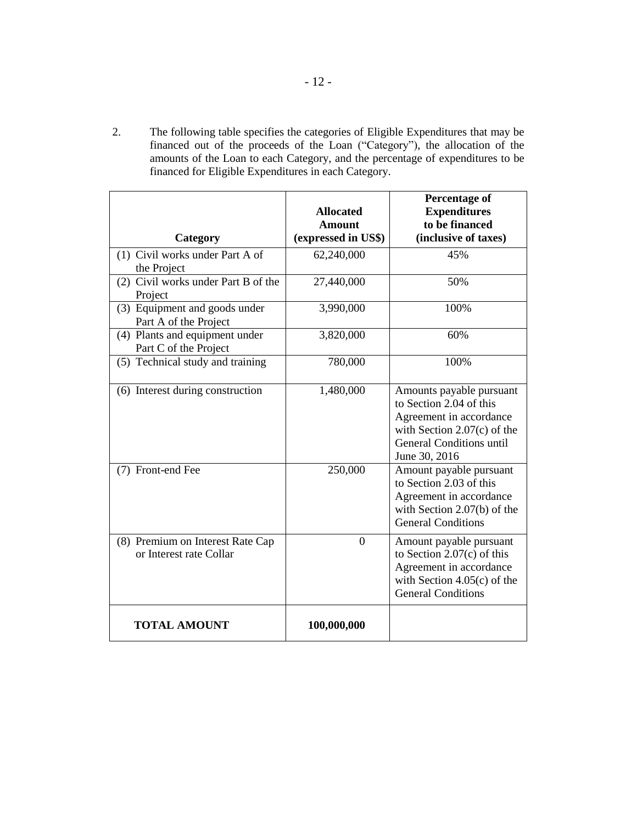2. The following table specifies the categories of Eligible Expenditures that may be financed out of the proceeds of the Loan ("Category"), the allocation of the amounts of the Loan to each Category, and the percentage of expenditures to be financed for Eligible Expenditures in each Category.

|                                                             | <b>Allocated</b>                     | <b>Percentage of</b><br><b>Expenditures</b>                                                                                                                         |
|-------------------------------------------------------------|--------------------------------------|---------------------------------------------------------------------------------------------------------------------------------------------------------------------|
| Category                                                    | <b>Amount</b><br>(expressed in US\$) | to be financed<br>(inclusive of taxes)                                                                                                                              |
| (1) Civil works under Part A of<br>the Project              | 62,240,000                           | 45%                                                                                                                                                                 |
| (2) Civil works under Part B of the<br>Project              | 27,440,000                           | 50%                                                                                                                                                                 |
| (3) Equipment and goods under<br>Part A of the Project      | 3,990,000                            | 100%                                                                                                                                                                |
| (4) Plants and equipment under<br>Part C of the Project     | 3,820,000                            | 60%                                                                                                                                                                 |
| (5) Technical study and training                            | 780,000                              | 100%                                                                                                                                                                |
| (6) Interest during construction                            | 1,480,000                            | Amounts payable pursuant<br>to Section 2.04 of this<br>Agreement in accordance<br>with Section $2.07(c)$ of the<br><b>General Conditions until</b><br>June 30, 2016 |
| (7) Front-end Fee                                           | 250,000                              | Amount payable pursuant<br>to Section 2.03 of this<br>Agreement in accordance<br>with Section 2.07(b) of the<br><b>General Conditions</b>                           |
| (8) Premium on Interest Rate Cap<br>or Interest rate Collar | $\overline{0}$                       | Amount payable pursuant<br>to Section $2.07(c)$ of this<br>Agreement in accordance<br>with Section $4.05(c)$ of the<br><b>General Conditions</b>                    |
| <b>TOTAL AMOUNT</b>                                         | 100,000,000                          |                                                                                                                                                                     |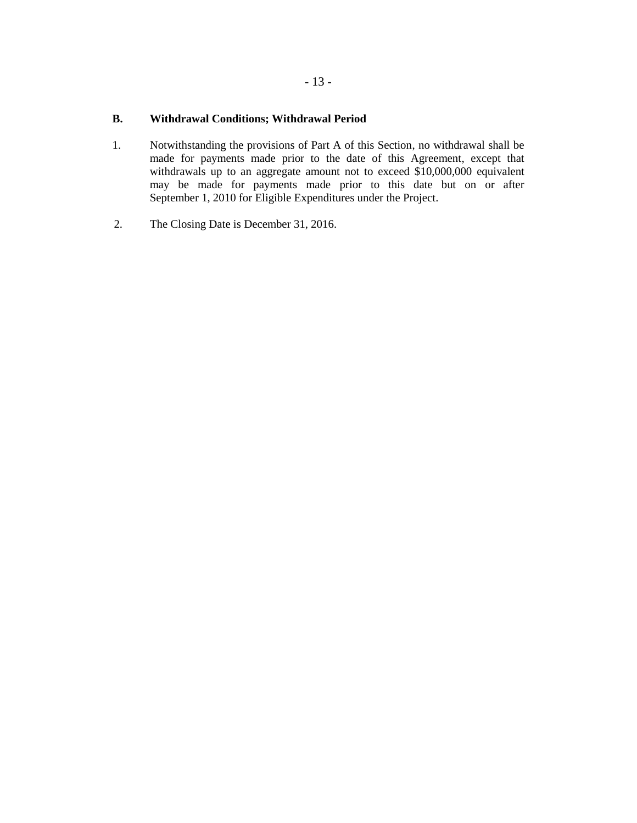# **B. Withdrawal Conditions; Withdrawal Period**

- 1. Notwithstanding the provisions of Part A of this Section, no withdrawal shall be made for payments made prior to the date of this Agreement, except that withdrawals up to an aggregate amount not to exceed \$10,000,000 equivalent may be made for payments made prior to this date but on or after September 1, 2010 for Eligible Expenditures under the Project.
- 2. The Closing Date is December 31, 2016.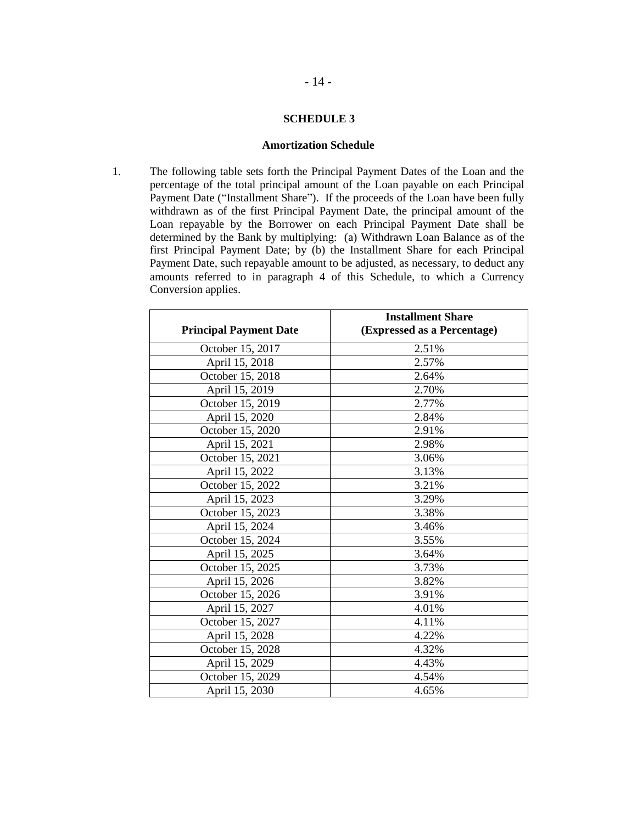## **SCHEDULE 3**

#### **Amortization Schedule**

1. The following table sets forth the Principal Payment Dates of the Loan and the percentage of the total principal amount of the Loan payable on each Principal Payment Date ("Installment Share"). If the proceeds of the Loan have been fully withdrawn as of the first Principal Payment Date, the principal amount of the Loan repayable by the Borrower on each Principal Payment Date shall be determined by the Bank by multiplying: (a) Withdrawn Loan Balance as of the first Principal Payment Date; by (b) the Installment Share for each Principal Payment Date, such repayable amount to be adjusted, as necessary, to deduct any amounts referred to in paragraph 4 of this Schedule, to which a Currency Conversion applies.

|                               | <b>Installment Share</b>    |
|-------------------------------|-----------------------------|
| <b>Principal Payment Date</b> | (Expressed as a Percentage) |
| October 15, 2017              | 2.51%                       |
| April 15, 2018                | 2.57%                       |
| October 15, 2018              | 2.64%                       |
| April 15, 2019                | 2.70%                       |
| October 15, 2019              | 2.77%                       |
| April 15, 2020                | 2.84%                       |
| October 15, 2020              | 2.91%                       |
| April 15, 2021                | 2.98%                       |
| October 15, 2021              | 3.06%                       |
| April 15, 2022                | 3.13%                       |
| October 15, 2022              | 3.21%                       |
| April 15, 2023                | 3.29%                       |
| October 15, 2023              | 3.38%                       |
| April 15, 2024                | 3.46%                       |
| October 15, 2024              | 3.55%                       |
| April 15, 2025                | 3.64%                       |
| October 15, 2025              | 3.73%                       |
| April 15, 2026                | 3.82%                       |
| October 15, 2026              | 3.91%                       |
| April 15, 2027                | 4.01%                       |
| October 15, 2027              | 4.11%                       |
| April 15, 2028                | 4.22%                       |
| October 15, 2028              | 4.32%                       |
| April 15, 2029                | 4.43%                       |
| October 15, 2029              | 4.54%                       |
| April 15, 2030                | 4.65%                       |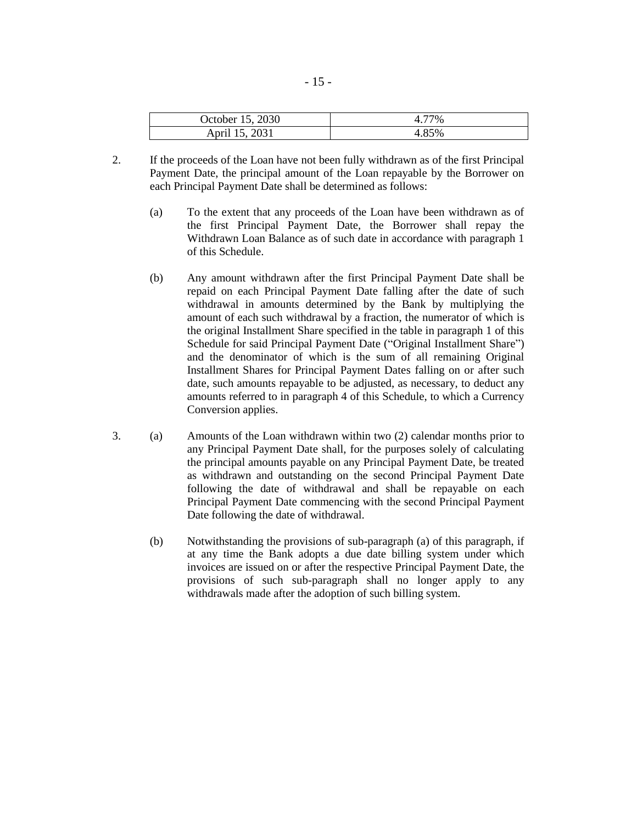| October 15, 2030 | $7\%$ |
|------------------|-------|
| April 15, 2031   | 4.85% |

- 2. If the proceeds of the Loan have not been fully withdrawn as of the first Principal Payment Date, the principal amount of the Loan repayable by the Borrower on each Principal Payment Date shall be determined as follows:
	- (a) To the extent that any proceeds of the Loan have been withdrawn as of the first Principal Payment Date, the Borrower shall repay the Withdrawn Loan Balance as of such date in accordance with paragraph 1 of this Schedule.
	- (b) Any amount withdrawn after the first Principal Payment Date shall be repaid on each Principal Payment Date falling after the date of such withdrawal in amounts determined by the Bank by multiplying the amount of each such withdrawal by a fraction, the numerator of which is the original Installment Share specified in the table in paragraph 1 of this Schedule for said Principal Payment Date ("Original Installment Share") and the denominator of which is the sum of all remaining Original Installment Shares for Principal Payment Dates falling on or after such date, such amounts repayable to be adjusted, as necessary, to deduct any amounts referred to in paragraph 4 of this Schedule, to which a Currency Conversion applies.
- 3. (a) Amounts of the Loan withdrawn within two (2) calendar months prior to any Principal Payment Date shall, for the purposes solely of calculating the principal amounts payable on any Principal Payment Date, be treated as withdrawn and outstanding on the second Principal Payment Date following the date of withdrawal and shall be repayable on each Principal Payment Date commencing with the second Principal Payment Date following the date of withdrawal.
	- (b) Notwithstanding the provisions of sub-paragraph (a) of this paragraph, if at any time the Bank adopts a due date billing system under which invoices are issued on or after the respective Principal Payment Date, the provisions of such sub-paragraph shall no longer apply to any withdrawals made after the adoption of such billing system.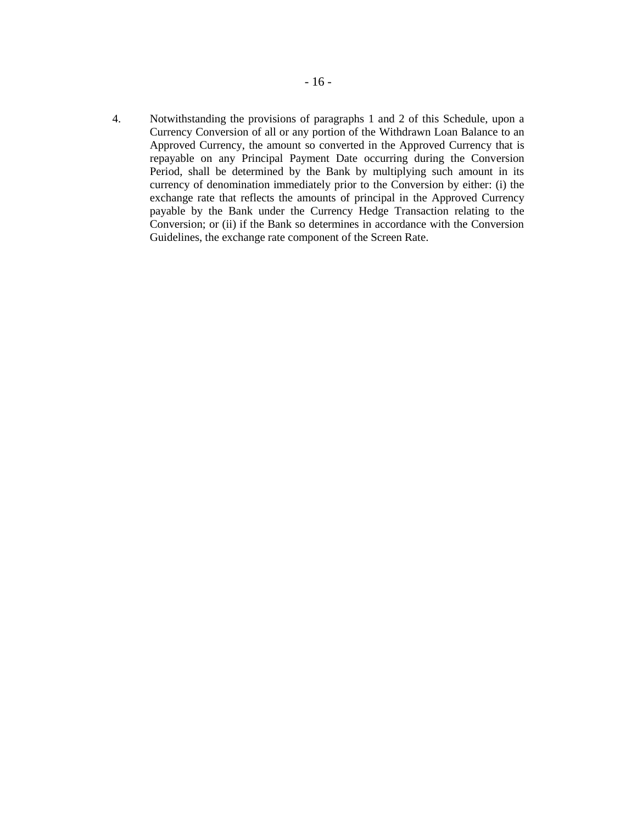4. Notwithstanding the provisions of paragraphs 1 and 2 of this Schedule, upon a Currency Conversion of all or any portion of the Withdrawn Loan Balance to an Approved Currency, the amount so converted in the Approved Currency that is repayable on any Principal Payment Date occurring during the Conversion Period, shall be determined by the Bank by multiplying such amount in its currency of denomination immediately prior to the Conversion by either: (i) the exchange rate that reflects the amounts of principal in the Approved Currency payable by the Bank under the Currency Hedge Transaction relating to the Conversion; or (ii) if the Bank so determines in accordance with the Conversion Guidelines, the exchange rate component of the Screen Rate.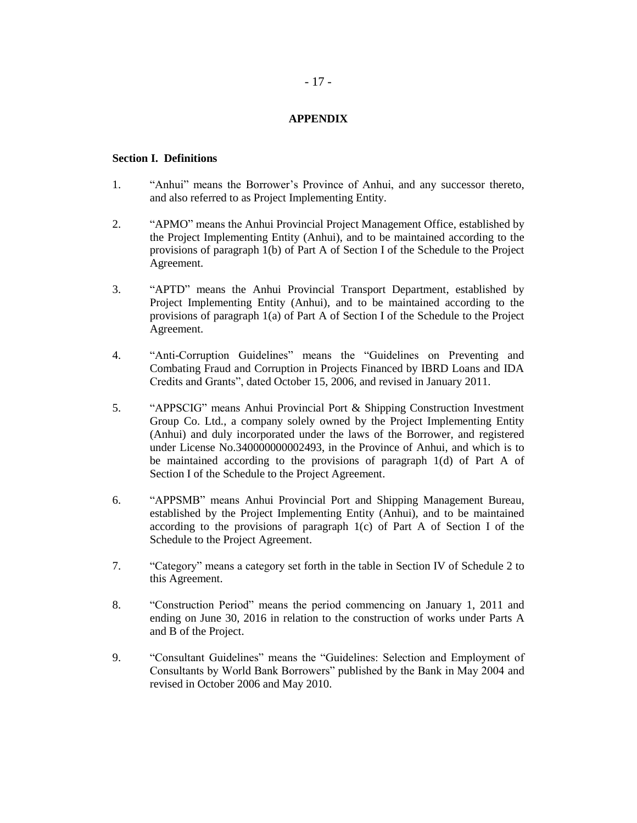## **APPENDIX**

#### **Section I. Definitions**

- 1. "Anhui" means the Borrower's Province of Anhui, and any successor thereto, and also referred to as Project Implementing Entity.
- 2. "APMO" means the Anhui Provincial Project Management Office, established by the Project Implementing Entity (Anhui), and to be maintained according to the provisions of paragraph 1(b) of Part A of Section I of the Schedule to the Project Agreement.
- 3. "APTD" means the Anhui Provincial Transport Department, established by Project Implementing Entity (Anhui), and to be maintained according to the provisions of paragraph 1(a) of Part A of Section I of the Schedule to the Project Agreement.
- 4. "Anti-Corruption Guidelines" means the "Guidelines on Preventing and Combating Fraud and Corruption in Projects Financed by IBRD Loans and IDA Credits and Grants", dated October 15, 2006, and revised in January 2011.
- 5. "APPSCIG" means Anhui Provincial Port & Shipping Construction Investment Group Co. Ltd., a company solely owned by the Project Implementing Entity (Anhui) and duly incorporated under the laws of the Borrower, and registered under License No.340000000002493, in the Province of Anhui, and which is to be maintained according to the provisions of paragraph 1(d) of Part A of Section I of the Schedule to the Project Agreement.
- 6. "APPSMB" means Anhui Provincial Port and Shipping Management Bureau, established by the Project Implementing Entity (Anhui), and to be maintained according to the provisions of paragraph  $1(c)$  of Part A of Section I of the Schedule to the Project Agreement.
- 7. "Category" means a category set forth in the table in Section IV of Schedule 2 to this Agreement.
- 8. "Construction Period" means the period commencing on January 1, 2011 and ending on June 30, 2016 in relation to the construction of works under Parts A and B of the Project.
- 9. "Consultant Guidelines" means the "Guidelines: Selection and Employment of Consultants by World Bank Borrowers" published by the Bank in May 2004 and revised in October 2006 and May 2010.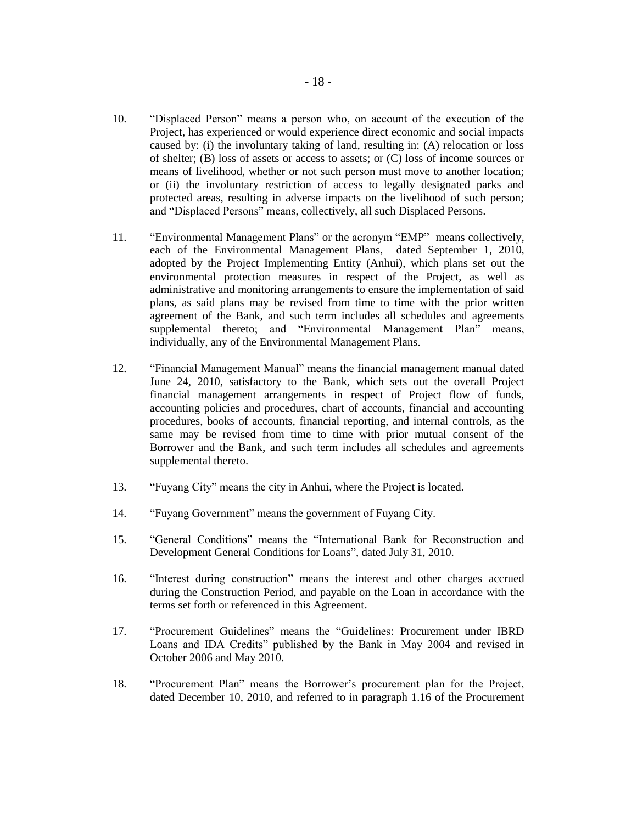- 10. "Displaced Person" means a person who, on account of the execution of the Project, has experienced or would experience direct economic and social impacts caused by: (i) the involuntary taking of land, resulting in: (A) relocation or loss of shelter; (B) loss of assets or access to assets; or (C) loss of income sources or means of livelihood, whether or not such person must move to another location; or (ii) the involuntary restriction of access to legally designated parks and protected areas, resulting in adverse impacts on the livelihood of such person; and "Displaced Persons" means, collectively, all such Displaced Persons.
- 11. "Environmental Management Plans" or the acronym "EMP" means collectively, each of the Environmental Management Plans, dated September 1, 2010, adopted by the Project Implementing Entity (Anhui), which plans set out the environmental protection measures in respect of the Project, as well as administrative and monitoring arrangements to ensure the implementation of said plans, as said plans may be revised from time to time with the prior written agreement of the Bank, and such term includes all schedules and agreements supplemental thereto; and "Environmental Management Plan" means, individually, any of the Environmental Management Plans.
- 12. "Financial Management Manual" means the financial management manual dated June 24, 2010, satisfactory to the Bank, which sets out the overall Project financial management arrangements in respect of Project flow of funds, accounting policies and procedures, chart of accounts, financial and accounting procedures, books of accounts, financial reporting, and internal controls, as the same may be revised from time to time with prior mutual consent of the Borrower and the Bank, and such term includes all schedules and agreements supplemental thereto.
- 13. "Fuyang City" means the city in Anhui, where the Project is located.
- 14. "Fuyang Government" means the government of Fuyang City.
- 15. "General Conditions" means the "International Bank for Reconstruction and Development General Conditions for Loans", dated July 31, 2010.
- 16. "Interest during construction" means the interest and other charges accrued during the Construction Period, and payable on the Loan in accordance with the terms set forth or referenced in this Agreement.
- 17. "Procurement Guidelines" means the "Guidelines: Procurement under IBRD Loans and IDA Credits" published by the Bank in May 2004 and revised in October 2006 and May 2010.
- 18. "Procurement Plan" means the Borrower's procurement plan for the Project, dated December 10, 2010, and referred to in paragraph 1.16 of the Procurement